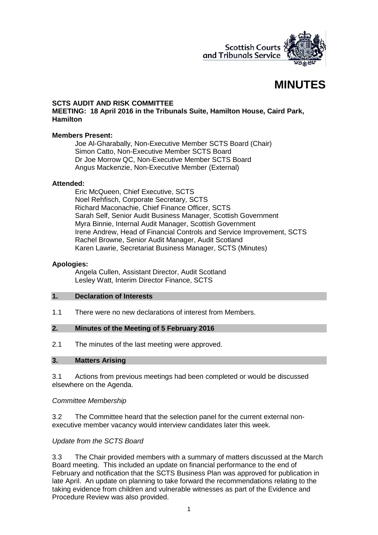

# **MINUTES**

### **SCTS AUDIT AND RISK COMMITTEE**

**MEETING: 18 April 2016 in the Tribunals Suite, Hamilton House, Caird Park, Hamilton** 

#### **Members Present:**

Joe Al-Gharabally, Non-Executive Member SCTS Board (Chair) Simon Catto, Non-Executive Member SCTS Board Dr Joe Morrow QC, Non-Executive Member SCTS Board Angus Mackenzie, Non-Executive Member (External)

#### **Attended:**

Eric McQueen, Chief Executive, SCTS Noel Rehfisch, Corporate Secretary, SCTS Richard Maconachie, Chief Finance Officer, SCTS Sarah Self, Senior Audit Business Manager, Scottish Government Myra Binnie, Internal Audit Manager, Scottish Government Irene Andrew, Head of Financial Controls and Service Improvement, SCTS Rachel Browne, Senior Audit Manager, Audit Scotland Karen Lawrie, Secretariat Business Manager, SCTS (Minutes)

#### **Apologies:**

Angela Cullen, Assistant Director, Audit Scotland Lesley Watt, Interim Director Finance, SCTS

#### **1. Declaration of Interests**

1.1 There were no new declarations of interest from Members.

#### **2. Minutes of the Meeting of 5 February 2016**

2.1 The minutes of the last meeting were approved.

#### **3. Matters Arising**

3.1 Actions from previous meetings had been completed or would be discussed elsewhere on the Agenda.

#### *Committee Membership*

3.2 The Committee heard that the selection panel for the current external nonexecutive member vacancy would interview candidates later this week.

#### *Update from the SCTS Board*

3.3 The Chair provided members with a summary of matters discussed at the March Board meeting. This included an update on financial performance to the end of February and notification that the SCTS Business Plan was approved for publication in late April. An update on planning to take forward the recommendations relating to the taking evidence from children and vulnerable witnesses as part of the Evidence and Procedure Review was also provided.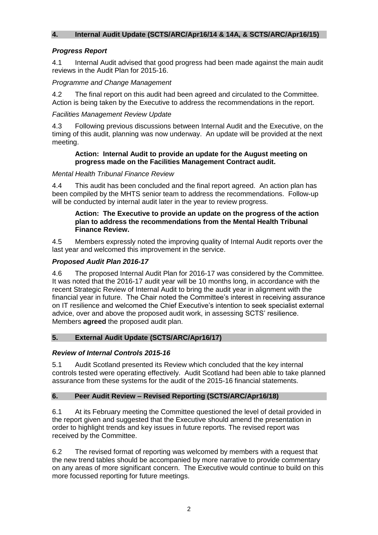## **4. Internal Audit Update (SCTS/ARC/Apr16/14 & 14A, & SCTS/ARC/Apr16/15)**

## *Progress Report*

4.1 Internal Audit advised that good progress had been made against the main audit reviews in the Audit Plan for 2015-16.

*Programme and Change Management*

4.2 The final report on this audit had been agreed and circulated to the Committee. Action is being taken by the Executive to address the recommendations in the report.

## *Facilities Management Review Update*

4.3 Following previous discussions between Internal Audit and the Executive, on the timing of this audit, planning was now underway. An update will be provided at the next meeting.

## **Action: Internal Audit to provide an update for the August meeting on progress made on the Facilities Management Contract audit.**

## *Mental Health Tribunal Finance Review*

4.4 This audit has been concluded and the final report agreed. An action plan has been compiled by the MHTS senior team to address the recommendations. Follow-up will be conducted by internal audit later in the year to review progress.

#### **Action: The Executive to provide an update on the progress of the action plan to address the recommendations from the Mental Health Tribunal Finance Review.**

4.5 Members expressly noted the improving quality of Internal Audit reports over the last year and welcomed this improvement in the service.

## *Proposed Audit Plan 2016-17*

4.6 The proposed Internal Audit Plan for 2016-17 was considered by the Committee. It was noted that the 2016-17 audit year will be 10 months long, in accordance with the recent Strategic Review of Internal Audit to bring the audit year in alignment with the financial year in future. The Chair noted the Committee's interest in receiving assurance on IT resilience and welcomed the Chief Executive's intention to seek specialist external advice, over and above the proposed audit work, in assessing SCTS' resilience. Members **agreed** the proposed audit plan.

## **5. External Audit Update (SCTS/ARC/Apr16/17)**

## *Review of Internal Controls 2015-16*

5.1 Audit Scotland presented its Review which concluded that the key internal controls tested were operating effectively. Audit Scotland had been able to take planned assurance from these systems for the audit of the 2015-16 financial statements.

## **6. Peer Audit Review – Revised Reporting (SCTS/ARC/Apr16/18)**

6.1 At its February meeting the Committee questioned the level of detail provided in the report given and suggested that the Executive should amend the presentation in order to highlight trends and key issues in future reports. The revised report was received by the Committee.

6.2 The revised format of reporting was welcomed by members with a request that the new trend tables should be accompanied by more narrative to provide commentary on any areas of more significant concern. The Executive would continue to build on this more focussed reporting for future meetings.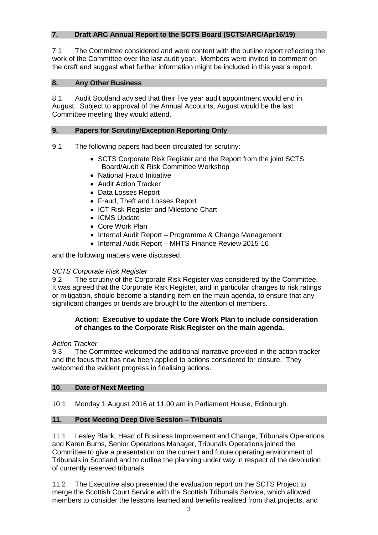## **7. Draft ARC Annual Report to the SCTS Board (SCTS/ARC/Apr16/19)**

7.1 The Committee considered and were content with the outline report reflecting the work of the Committee over the last audit year. Members were invited to comment on the draft and suggest what further information might be included in this year's report.

### **8. Any Other Business**

8.1 Audit Scotland advised that their five year audit appointment would end in August. Subject to approval of the Annual Accounts, August would be the last Committee meeting they would attend.

## **9. Papers for Scrutiny/Exception Reporting Only**

- 9.1 The following papers had been circulated for scrutiny:
	- SCTS Corporate Risk Register and the Report from the joint SCTS Board/Audit & Risk Committee Workshop
	- National Fraud Initiative
	- Audit Action Tracker
	- Data Losses Report
	- Fraud, Theft and Losses Report
	- ICT Risk Register and Milestone Chart
	- ICMS Update
	- Core Work Plan
	- Internal Audit Report Programme & Change Management
	- Internal Audit Report MHTS Finance Review 2015-16

and the following matters were discussed.

#### *SCTS Corporate Risk Register*

9.2 The scrutiny of the Corporate Risk Register was considered by the Committee. It was agreed that the Corporate Risk Register, and in particular changes to risk ratings or mitigation, should become a standing item on the main agenda, to ensure that any significant changes or trends are brought to the attention of members.

#### **Action: Executive to update the Core Work Plan to include consideration of changes to the Corporate Risk Register on the main agenda.**

#### *Action Tracker*

9.3 The Committee welcomed the additional narrative provided in the action tracker and the focus that has now been applied to actions considered for closure. They welcomed the evident progress in finalising actions.

#### **10. Date of Next Meeting**

10.1 Monday 1 August 2016 at 11.00 am in Parliament House, Edinburgh.

## **11. Post Meeting Deep Dive Session – Tribunals**

11.1 Lesley Black, Head of Business Improvement and Change, Tribunals Operations and Karen Burns, Senior Operations Manager, Tribunals Operations joined the Committee to give a presentation on the current and future operating environment of Tribunals in Scotland and to outline the planning under way in respect of the devolution of currently reserved tribunals.

11.2 The Executive also presented the evaluation report on the SCTS Project to merge the Scottish Court Service with the Scottish Tribunals Service, which allowed members to consider the lessons learned and benefits realised from that projects, and